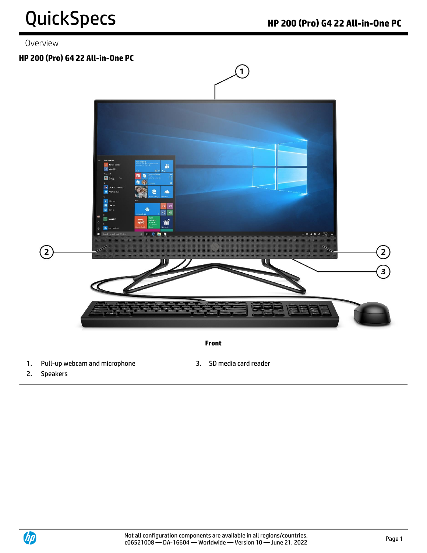Overview

# **HP 200 (Pro) G4 22 All-in-One PC**



**Front**

- 1. Pull-up webcam and microphone 3. SD media card reader
	-

2. Speakers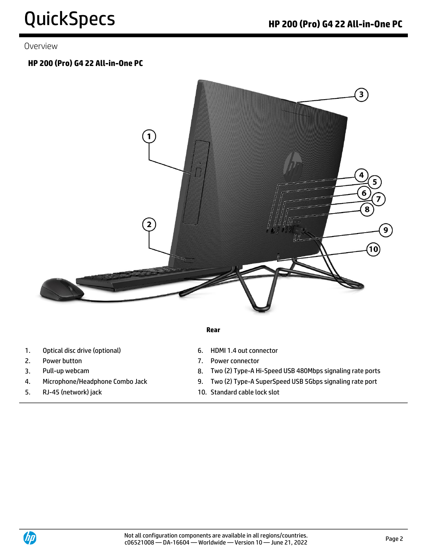#### Overview

# **HP 200 (Pro) G4 22 All-in-One PC**



#### **Rear**

- 1. Optical disc drive (optional) 6. HDMI 1.4 out connector
- 2. Power button 7. Power connector
- 
- 
- 
- 
- 
- 3. Pull-up webcam 8. Two (2) Type-A Hi-Speed USB 480Mbps signaling rate ports
- 4. Microphone/Headphone Combo Jack 9. Two (2) Type-A SuperSpeed USB 5Gbps signaling rate port
- 5. RJ-45 (network) jack 10. Standard cable lock slot

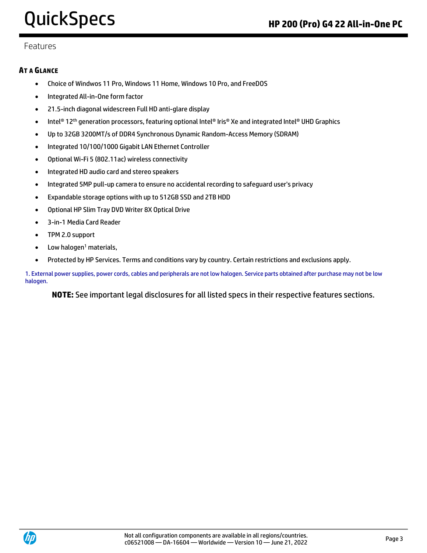### Features

### **AT A GLANCE**

- Choice of Windwos 11 Pro, Windows 11 Home, Windows 10 Pro, and FreeDOS
- Integrated All-in-One form factor
- 21.5-inch diagonal widescreen Full HD anti-glare display
- Intel® 12 th generation processors, featuring optional Intel® Iris® Xe and integrated Intel® UHD Graphics
- Up to 32GB 3200MT/s of DDR4 Synchronous Dynamic Random-Access Memory (SDRAM)
- Integrated 10/100/1000 Gigabit LAN Ethernet Controller
- Optional Wi-Fi 5 (802.11ac) wireless connectivity
- Integrated HD audio card and stereo speakers
- Integrated 5MP pull-up camera to ensure no accidental recording to safeguard user's privacy
- Expandable storage options with up to 512GB SSD and 2TB HDD
- Optional HP Slim Tray DVD Writer 8X Optical Drive
- 3-in-1 Media Card Reader
- TPM 2.0 support
- $\bullet$  Low halogen<sup>1</sup> materials,
- Protected by HP Services. Terms and conditions vary by country. Certain restrictions and exclusions apply.

1. External power supplies, power cords, cables and peripherals are not low halogen. Service parts obtained after purchase may not be low halogen.

**NOTE:** See important legal disclosures for all listed specs in their respective features sections.

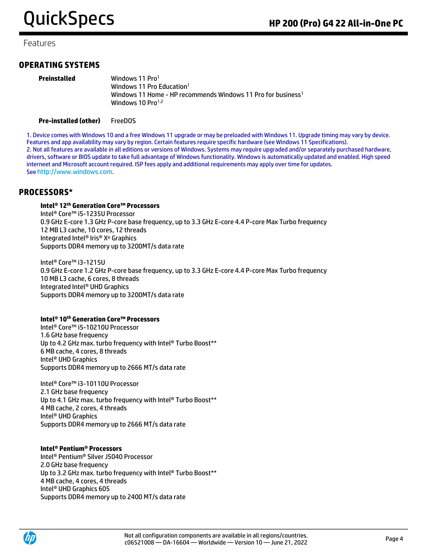Features

# **OPERATING SYSTEMS**

| Preinstalled |  |
|--------------|--|
|--------------|--|

**d** Windows 11 Pro<sup>1</sup> Windows 11 Pro Education<sup>1</sup> Windows 11 Home - HP recommends Windows 11 Pro for business<sup>1</sup> Windows 10 Pro<sup>1,2</sup>

**Pre-installed (other)** FreeDOS

1. Device comes with Windows 10 and a free Windows 11 upgrade or may be preloaded with Windows 11. Upgrade timing may vary by device. Features and app availability may vary by region. Certain features require specific hardware (see Windows 11 Specifications). 2. Not all features are available in all editions or versions of Windows. Systems may require upgraded and/or separately purchased hardware, drivers, software or BIOS update to take full advantage of Windows functionality. Windows is automatically updated and enabled. High speed interneet and Microsoft account required. ISP fees apply and additional requirements may apply over time for updates. See [http://www.windows.com](http://www.windows.com/).

# **PROCESSORS\***

#### **Intel® 12 th Generation Core™ Processors**

Intel® Core™ i5-1235U Processor 0.9 GHz E-core 1.3 GHz P-core base frequency, up to 3.3 GHz E-core 4.4 P-core Max Turbo frequency 12 MB L3 cache, 10 cores, 12 threads Integrated Intel® Iris® X<sup>e</sup> Graphics Supports DDR4 memory up to 3200MT/s data rate

Intel® Core™ i3-1215U 0.9 GHz E-core 1.2 GHz P-core base frequency, up to 3.3 GHz E-core 4.4 P-core Max Turbo frequency 10 MB L3 cache, 6 cores, 8 threads Integrated Intel® UHD Graphics Supports DDR4 memory up to 3200MT/s data rate

#### **Intel® 10th Generation Core™ Processors**

Intel® Core™ i5-10210U Processor 1.6 GHz base frequency Up to 4.2 GHz max. turbo frequency with Intel® Turbo Boost\*\* 6 MB cache, 4 cores, 8 threads Intel® UHD Graphics Supports DDR4 memory up to 2666 MT/s data rate

Intel® Core™ i3-10110U Processor 2.1 GHz base frequency Up to 4.1 GHz max. turbo frequency with Intel<sup>®</sup> Turbo Boost<sup>\*\*</sup> 4 MB cache, 2 cores, 4 threads Intel® UHD Graphics Supports DDR4 memory up to 2666 MT/s data rate

#### **Intel® Pentium® Processors**

Intel® Pentium® Silver J5040 Processor 2.0 GHz base frequency Up to 3.2 GHz max. turbo frequency with Intel® Turbo Boost\*\* 4 MB cache, 4 cores, 4 threads Intel® UHD Graphics 605 Supports DDR4 memory up to 2400 MT/s data rate

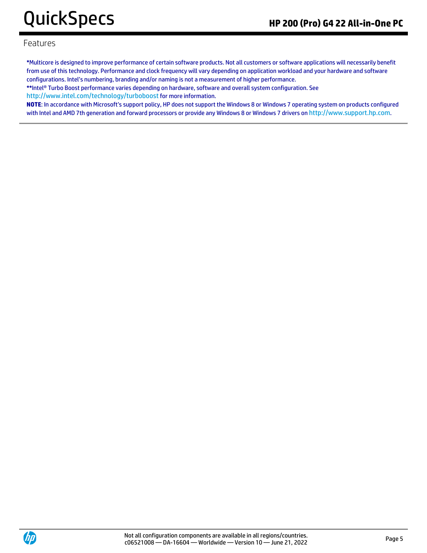### Features

**\***Multicore is designed to improve performance of certain software products. Not all customers or software applications will necessarily benefit from use of this technology. Performance and clock frequency will vary depending on application workload and your hardware and software configurations. Intel's numbering, branding and/or naming is not a measurement of higher performance.

**\*\***Intel® Turbo Boost performance varies depending on hardware, software and overall system configuration. See http://www.intel.com/technology/turboboost for more information.

**NOTE**: In accordance with Microsoft's support policy, HP does not support the Windows 8 or Windows 7 operating system on products configured with Intel and AMD 7th generation and forward processors or provide any Windows 8 or Windows 7 drivers on [http://www.support.hp.com](http://www.support.hp.com/).

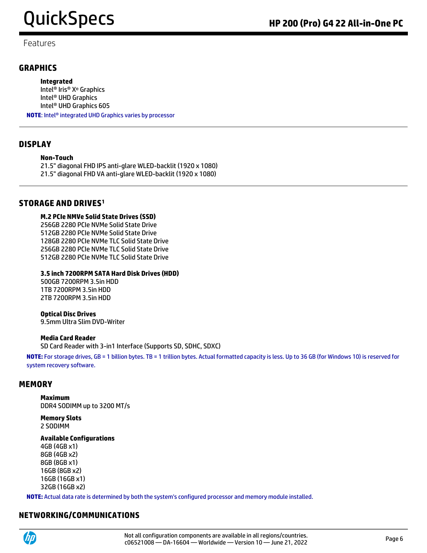Features

# **GRAPHICS**

**Integrated** Intel<sup>®</sup> Iris<sup>®</sup> X<sup>e</sup> Graphics Intel® UHD Graphics Intel® UHD Graphics 605

**NOTE**: Intel® integrated UHD Graphics varies by processor

#### **DISPLAY**

#### **Non-Touch**

21.5" diagonal FHD IPS anti-glare WLED-backlit (1920 x 1080) 21.5" diagonal FHD VA anti-glare WLED-backlit (1920 x 1080)

### **STORAGE AND DRIVES<sup>1</sup>**

#### **M.2 PCIe NMVe Solid State Drives (SSD)** 256GB 2280 PCIe NVMe Solid State Drive 512GB 2280 PCIe NVMe Solid State Drive 128GB 2280 PCIe NVMe TLC Solid State Drive 256GB 2280 PCIe NVMe TLC Solid State Drive 512GB 2280 PCIe NVMe TLC Solid State Drive

#### **3.5 inch 7200RPM SATA Hard Disk Drives (HDD)**

500GB 7200RPM 3.5in HDD 1TB 7200RPM 3.5in HDD 2TB 7200RPM 3.5in HDD

**Optical Disc Drives** 9.5mm Ultra Slim DVD-Writer

# **Media Card Reader**

SD Card Reader with 3-in1 Interface (Supports SD, SDHC, SDXC)

**NOTE:** For storage drives, GB = 1 billion bytes. TB = 1 trillion bytes. Actual formatted capacity is less. Up to 36 GB (for Windows 10) is reserved for system recovery software.

### **MEMORY**

**Maximum** DDR4 SODIMM up to 3200 MT/s

**Memory Slots** 2 SODIMM

#### **Available Configurations**

4GB (4GB x1) 8GB (4GB x2) 8GB (8GB x1) 16GB (8GB x2) 16GB (16GB x1) 32GB (16GB x2)

**NOTE:** Actual data rate is determined by both the system's configured processor and memory module installed.

# **NETWORKING/COMMUNICATIONS**

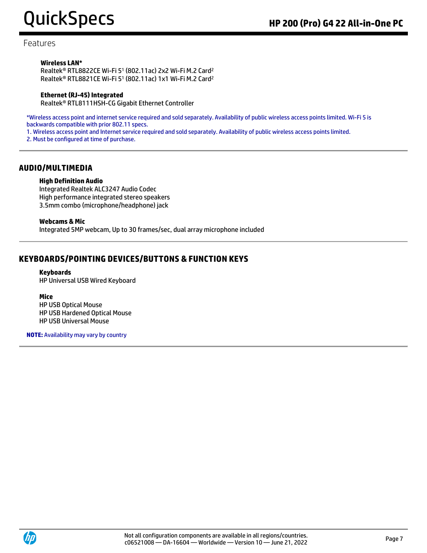### Features

#### **Wireless LAN\***

Realtek® RTL8822CE Wi-Fi 5<sup>1</sup> (802.11ac) 2x2 Wi-Fi M.2 Card<sup>2</sup> Realtek® RTL8821CE Wi-Fi 5<sup>1</sup> (802.11ac) 1x1 Wi-Fi M.2 Card<sup>2</sup>

#### **Ethernet (RJ-45) Integrated**

Realtek® RTL8111HSH-CG Gigabit Ethernet Controller

\*Wireless access point and internet service required and sold separately. Availability of public wireless access points limited. Wi-Fi 5 is backwards compatible with prior 802.11 specs.

1. Wireless access point and Internet service required and sold separately. Availability of public wireless access points limited.

2. Must be configured at time of purchase.

#### **AUDIO/MULTIMEDIA**

#### **High Definition Audio**

Integrated Realtek ALC3247 Audio Codec High performance integrated stereo speakers 3.5mm combo (microphone/headphone) jack

#### **Webcams & Mic**

Integrated 5MP webcam, Up to 30 frames/sec, dual array microphone included

# **KEYBOARDS/POINTING DEVICES/BUTTONS & FUNCTION KEYS**

#### **Keyboards**

HP Universal USB Wired Keyboard

#### **Mice**

HP USB Optical Mouse HP USB Hardened Optical Mouse HP USB Universal Mouse

**NOTE:** Availability may vary by country

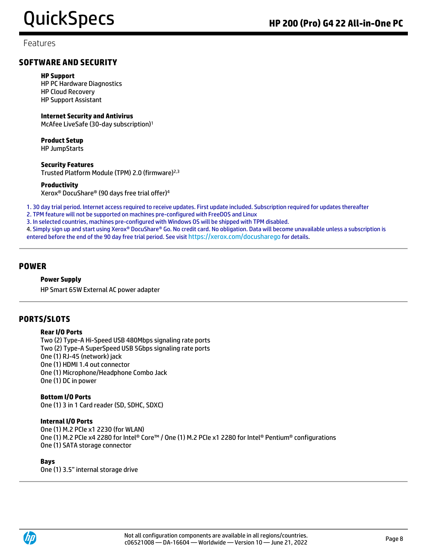Features

# **SOFTWARE AND SECURITY**

#### **HP Support**

HP PC Hardware Diagnostics HP Cloud Recovery HP Support Assistant

#### **Internet Security and Antivirus**

McAfee LiveSafe (30-day subscription)<sup>1</sup>

#### **Product Setup**

HP JumpStarts

#### **Security Features**

Trusted Platform Module (TPM) 2.0 (firmware)2,3

#### **Productivity**

Xerox® DocuShare® (90 days free trial offer) 4

1. 30 day trial period. Internet access required to receive updates. First update included. Subscription required for updates thereafter

2. TPM feature will not be supported on machines pre-configured with FreeDOS and Linux

3. In selected countries, machines pre-configured with Windows OS will be shipped with TPM disabled.

4. Simply sign up and start using Xerox® DocuShare® Go. No credit card. No obligation. Data will become unavailable unless a subscription is entered before the end of the 90 day free trial period. See visit <https://xerox.com/docusharego> for details.

### **POWER**

#### **Power Supply**

HP Smart 65W External AC power adapter

# **PORTS/SLOTS**

#### **Rear I/O Ports**

Two (2) Type-A Hi-Speed USB 480Mbps signaling rate ports Two (2) Type-A SuperSpeed USB 5Gbps signaling rate ports One (1) RJ-45 (network) jack One (1) HDMI 1.4 out connector One (1) Microphone/Headphone Combo Jack One (1) DC in power

#### **Bottom I/O Ports**

One (1) 3 in 1 Card reader (SD, SDHC, SDXC)

#### **Internal I/O Ports**

One (1) M.2 PCIe x1 2230 (for WLAN) One (1) M.2 PCIe x4 2280 for Intel® Core™ / One (1) M.2 PCIe x1 2280 for Intel® Pentium® configurations One (1) SATA storage connector

#### **Bays**

One (1) 3.5" internal storage drive

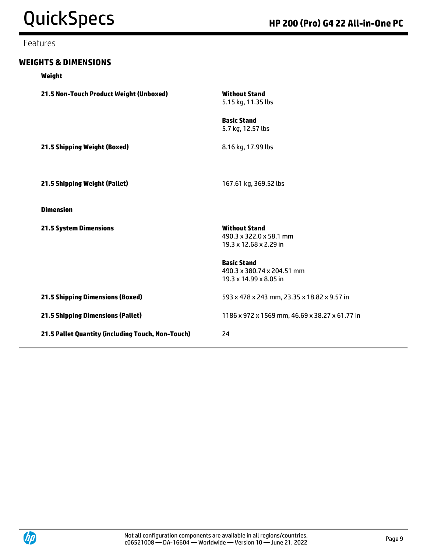### Features

# **WEIGHTS & DIMENSIONS**

| Weight                                            |                                                      |
|---------------------------------------------------|------------------------------------------------------|
| 21.5 Non-Touch Product Weight (Unboxed)           | <b>Without Stand</b><br>5.15 kg, 11.35 lbs           |
|                                                   | <b>Basic Stand</b><br>5.7 kg, 12.57 lbs              |
| 21.5 Shipping Weight (Boxed)                      | 8.16 kg, 17.99 lbs                                   |
|                                                   |                                                      |
| 21.5 Shipping Weight (Pallet)                     | 167.61 kg, 369.52 lbs                                |
| <b>Dimension</b>                                  |                                                      |
| <b>21.5 System Dimensions</b>                     | <b>Without Stand</b><br>490.3 x 322.0 x 58.1 mm      |
|                                                   | 19.3 x 12.68 x 2.29 in                               |
|                                                   | <b>Basic Stand</b>                                   |
|                                                   | 490.3 x 380.74 x 204.51 mm<br>19.3 x 14.99 x 8.05 in |
| <b>21.5 Shipping Dimensions (Boxed)</b>           | 593 x 478 x 243 mm, 23.35 x 18.82 x 9.57 in          |
| <b>21.5 Shipping Dimensions (Pallet)</b>          | 1186 x 972 x 1569 mm, 46.69 x 38.27 x 61.77 in       |
| 21.5 Pallet Quantity (including Touch, Non-Touch) | 24                                                   |

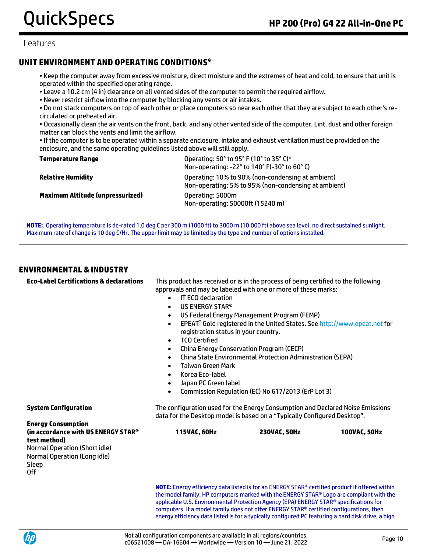Features

# **UNIT ENVIRONMENT AND OPERATING CONDITIONS<sup>9</sup>**

• Keep the computer away from excessive moisture, direct moisture and the extremes of heat and cold, to ensure that unit is operated within the specified operating range.

• Leave a 10.2 cm (4 in) clearance on all vented sides of the computer to permit the required airflow.

• Never restrict airflow into the computer by blocking any vents or air intakes.

• Do not stack computers on top of each other or place computers so near each other that they are subject to each other's recirculated or preheated air.

• Occasionally clean the air vents on the front, back, and any other vented side of the computer. Lint, dust and other foreign matter can block the vents and limit the airflow.

• If the computer is to be operated within a separate enclosure, intake and exhaust ventilation must be provided on the enclosure, and the same operating guidelines listed above will still apply.

| <b>Temperature Range</b>                | Operating: 50° to 95° F (10° to 35° C)*<br>Non-operating: -22° to 140° F(-30° to 60° C)                   |
|-----------------------------------------|-----------------------------------------------------------------------------------------------------------|
| <b>Relative Humidity</b>                | Operating: 10% to 90% (non-condensing at ambient)<br>Non-operating: 5% to 95% (non-condensing at ambient) |
| <b>Maximum Altitude (unpressurized)</b> | Operating: 5000m<br>Non-operating: 50000ft (15240 m)                                                      |

**NOTE:**. Operating temperature is de-rated 1.0 deg C per 300 m (1000 ft) to 3000 m (10,000 ft) above sea level, no direct sustained sunlight. Maximum rate of change is 10 deg C/Hr. The upper limit may be limited by the type and number of options installed.

# **ENVIRONMENTAL & INDUSTRY**

**Eco-Label Certifications & declarations** This product has received or is in the process of being certified to the following approvals and may be labeled with one or more of these marks:

- IT ECO declaration
- US ENERGY STAR®
- US Federal Energy Management Program (FEMP)
- EPEAT<sup>D</sup> Gold registered in the United States. Se[e http://www.epeat.net](http://www.epeat.net/) for registration status in your country.
- TCO Certified
- China Energy Conservation Program (CECP)
- China State Environmental Protection Administration (SEPA)
- Taiwan Green Mark
- Korea Eco-label
- Japan PC Green label
- Commission Regulation (EC) No 617/2013 (ErP Lot 3)

#### **Energy Consumption (in accordance with US ENERGY STAR® test method)**

Normal Operation (Short idle) Normal Operation (Long idle) Sleep Off

**System Configuration** The configuration used for the Energy Consumption and Declared Noise Emissions data for the Desktop model is based on a "Typically Configured Desktop".

**115VAC, 60Hz 230VAC, 50Hz 100VAC, 50Hz**

**NOTE:** Energy efficiency data listed is for an ENERGY STAR® certified product if offered within the model family. HP computers marked with the ENERGY STAR® Logo are compliant with the applicable U.S. Environmental Protection Agency (EPA) ENERGY STAR® specifications for computers. If a model family does not offer ENERGY STAR® certified configurations, then energy efficiency data listed is for a typically configured PC featuring a hard disk drive, a high

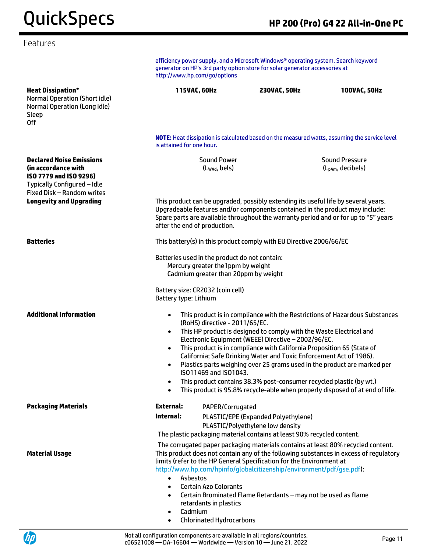| Features                                                                                                                                      |                                     |                                                                                                                             |                                                                                                                                                                                                                                                                                                                                                    |                                                                                                                                                                                                                                         |
|-----------------------------------------------------------------------------------------------------------------------------------------------|-------------------------------------|-----------------------------------------------------------------------------------------------------------------------------|----------------------------------------------------------------------------------------------------------------------------------------------------------------------------------------------------------------------------------------------------------------------------------------------------------------------------------------------------|-----------------------------------------------------------------------------------------------------------------------------------------------------------------------------------------------------------------------------------------|
|                                                                                                                                               |                                     | http://www.hp.com/go/options                                                                                                | efficiency power supply, and a Microsoft Windows® operating system. Search keyword<br>generator on HP's 3rd party option store for solar generator accessories at                                                                                                                                                                                  |                                                                                                                                                                                                                                         |
| <b>Heat Dissipation*</b><br><b>Normal Operation (Short idle)</b><br>Normal Operation (Long idle)<br>Sleep<br>Off                              |                                     | 115VAC, 60Hz                                                                                                                | 230VAC, 50Hz                                                                                                                                                                                                                                                                                                                                       | 100VAC, 50Hz                                                                                                                                                                                                                            |
|                                                                                                                                               | is attained for one hour.           |                                                                                                                             |                                                                                                                                                                                                                                                                                                                                                    | NOTE: Heat dissipation is calculated based on the measured watts, assuming the service level                                                                                                                                            |
| <b>Declared Noise Emissions</b><br>(in accordance with<br>ISO 7779 and ISO 9296)<br>Typically Configured - Idle<br>Fixed Disk - Random writes |                                     | <b>Sound Power</b><br>(L <sub>WAd</sub> , bels)                                                                             |                                                                                                                                                                                                                                                                                                                                                    | <b>Sound Pressure</b><br>(L <sub>DAm</sub> , decibels)                                                                                                                                                                                  |
| <b>Longevity and Upgrading</b>                                                                                                                |                                     | after the end of production.                                                                                                | This product can be upgraded, possibly extending its useful life by several years.<br>Upgradeable features and/or components contained in the product may include:                                                                                                                                                                                 | Spare parts are available throughout the warranty period and or for up to "5" years                                                                                                                                                     |
| <b>Batteries</b>                                                                                                                              |                                     |                                                                                                                             | This battery(s) in this product comply with EU Directive 2006/66/EC                                                                                                                                                                                                                                                                                |                                                                                                                                                                                                                                         |
|                                                                                                                                               |                                     | Batteries used in the product do not contain:<br>Mercury greater the 1ppm by weight<br>Cadmium greater than 20ppm by weight |                                                                                                                                                                                                                                                                                                                                                    |                                                                                                                                                                                                                                         |
|                                                                                                                                               | <b>Battery type: Lithium</b>        | Battery size: CR2032 (coin cell)                                                                                            |                                                                                                                                                                                                                                                                                                                                                    |                                                                                                                                                                                                                                         |
| <b>Additional Information</b>                                                                                                                 | $\bullet$<br>$\bullet$<br>$\bullet$ | (RoHS) directive - 2011/65/EC.<br>IS011469 and IS01043.                                                                     | This HP product is designed to comply with the Waste Electrical and<br>Electronic Equipment (WEEE) Directive - 2002/96/EC.<br>This product is in compliance with California Proposition 65 (State of<br>California; Safe Drinking Water and Toxic Enforcement Act of 1986).<br>This product contains 38.3% post-consumer recycled plastic (by wt.) | This product is in compliance with the Restrictions of Hazardous Substances<br>Plastics parts weighing over 25 grams used in the product are marked per<br>This product is 95.8% recycle-able when properly disposed of at end of life. |
| <b>Packaging Materials</b>                                                                                                                    | External:                           | PAPER/Corrugated                                                                                                            |                                                                                                                                                                                                                                                                                                                                                    |                                                                                                                                                                                                                                         |
|                                                                                                                                               | Internal:                           |                                                                                                                             | PLASTIC/EPE (Expanded Polyethylene)<br>PLASTIC/Polyethylene low density<br>The plastic packaging material contains at least 90% recycled content.                                                                                                                                                                                                  |                                                                                                                                                                                                                                         |
| <b>Material Usage</b>                                                                                                                         | $\bullet$                           | Asbestos<br><b>Certain Azo Colorants</b>                                                                                    | limits (refer to the HP General Specification for the Environment at<br>http://www.hp.com/hpinfo/globalcitizenship/environment/pdf/gse.pdf):                                                                                                                                                                                                       | The corrugated paper packaging materials contains at least 80% recycled content.<br>This product does not contain any of the following substances in excess of regulatory                                                               |
|                                                                                                                                               | $\bullet$                           | retardants in plastics<br>Cadmium<br><b>Chlorinated Hydrocarbons</b>                                                        | Certain Brominated Flame Retardants - may not be used as flame                                                                                                                                                                                                                                                                                     |                                                                                                                                                                                                                                         |
|                                                                                                                                               |                                     |                                                                                                                             | Not all configuration components are available in all regions/countries.<br>c06521008 - DA-16604 - Worldwide - Version 10 - June 21, 2022                                                                                                                                                                                                          | Page 1                                                                                                                                                                                                                                  |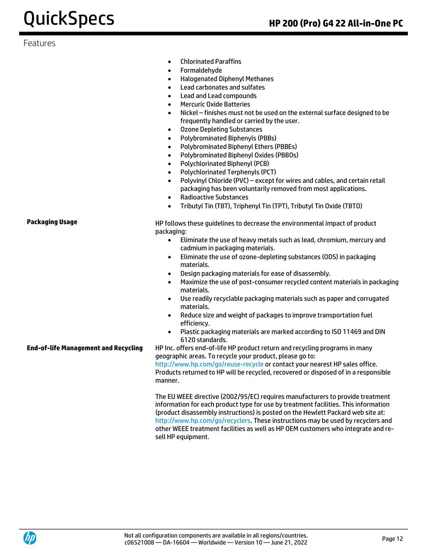| Features |
|----------|
|----------|

- Chlorinated Paraffins
- Formaldehyde
- Halogenated Diphenyl Methanes
- Lead carbonates and sulfates
- Lead and Lead compounds
- Mercuric Oxide Batteries
- Nickel finishes must not be used on the external surface designed to be frequently handled or carried by the user.
- Ozone Depleting Substances
- Polybrominated Biphenyls (PBBs)
- Polybrominated Biphenyl Ethers (PBBEs)
- Polybrominated Biphenyl Oxides (PBBOs)
- Polychlorinated Biphenyl (PCB)
- Polychlorinated Terphenyls (PCT)
- Polyvinyl Chloride (PVC) except for wires and cables, and certain retail packaging has been voluntarily removed from most applications.
- Radioactive Substances
- Tributyl Tin (TBT), Triphenyl Tin (TPT), Tributyl Tin Oxide (TBTO)

**Packaging Usage HP follows these quidelines to decrease the environmental impact of product** packaging:

- Eliminate the use of heavy metals such as lead, chromium, mercury and cadmium in packaging materials.
- Eliminate the use of ozone-depleting substances (ODS) in packaging materials.
- Design packaging materials for ease of disassembly.
- Maximize the use of post-consumer recycled content materials in packaging materials.
- Use readily recyclable packaging materials such as paper and corrugated materials.
- Reduce size and weight of packages to improve transportation fuel efficiency.
- Plastic packaging materials are marked according to ISO 11469 and DIN 6120 standards.

**End-of-life Management and Recycling** HP Inc. offers end-of-life HP product return and recycling programs in many geographic areas. To recycle your product, please go to: <http://www.hp.com/go/reuse-recycle> or contact your nearest HP sales office.

Products returned to HP will be recycled, recovered or disposed of in a responsible manner.

The EU WEEE directive (2002/95/EC) requires manufacturers to provide treatment information for each product type for use by treatment facilities. This information (product disassembly instructions) is posted on the Hewlett Packard web site at: [http://www.hp.com/go/recyclers.](http://www.hp.com/go/recyclers) These instructions may be used by recyclers and other WEEE treatment facilities as well as HP OEM customers who integrate and resell HP equipment.

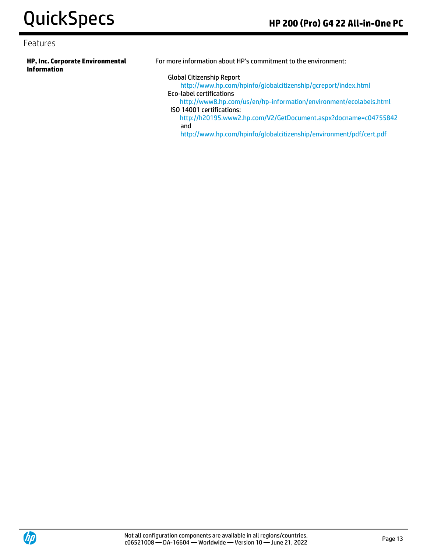### Features

**HP, Inc. Corporate Environmental Information**

For more information about HP's commitment to the environment:

#### Global Citizenship Report

<http://www.hp.com/hpinfo/globalcitizenship/gcreport/index.html> Eco-label certifications

<http://www8.hp.com/us/en/hp-information/environment/ecolabels.html> ISO 14001 certifications:

<http://h20195.www2.hp.com/V2/GetDocument.aspx?docname=c04755842> and

<http://www.hp.com/hpinfo/globalcitizenship/environment/pdf/cert.pdf>

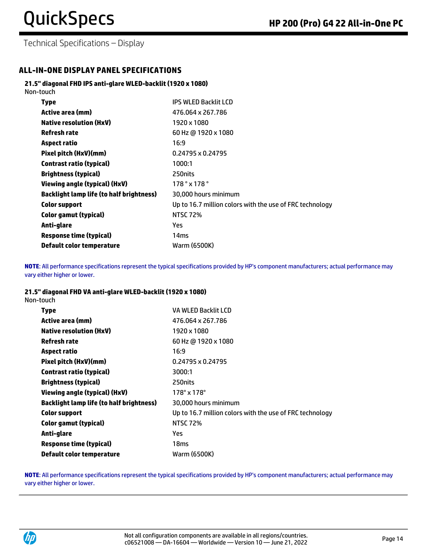Technical Specifications – Display

# **ALL-IN-ONE DISPLAY PANEL SPECIFICATIONS**

#### **21.5" diagonal FHD IPS anti-glare WLED-backlit (1920 x 1080)**

Non-touch

| <b>Type</b>                                     | IPS WLED Backlit LCD                                     |
|-------------------------------------------------|----------------------------------------------------------|
| Active area (mm)                                | 476.064 x 267.786                                        |
| <b>Native resolution (HxV)</b>                  | 1920 x 1080                                              |
| Refresh rate                                    | 60 Hz @ 1920 x 1080                                      |
| <b>Aspect ratio</b>                             | 16:9                                                     |
| Pixel pitch (HxV)(mm)                           | $0.24795 \times 0.24795$                                 |
| <b>Contrast ratio (typical)</b>                 | 1000:1                                                   |
| <b>Brightness (typical)</b>                     | 250 nits                                                 |
| Viewing angle (typical) (HxV)                   | $178°$ x $178°$                                          |
| <b>Backlight lamp life (to half brightness)</b> | 30,000 hours minimum                                     |
| <b>Color support</b>                            | Up to 16.7 million colors with the use of FRC technology |
| <b>Color gamut (typical)</b>                    | <b>NTSC 72%</b>                                          |
| Anti-glare                                      | Yes                                                      |
| <b>Response time (typical)</b>                  | 14ms                                                     |
| <b>Default color temperature</b>                | Warm (6500K)                                             |

**NOTE**: All performance specifications represent the typical specifications provided by HP's component manufacturers; actual performance may vary either higher or lower.

#### **21.5" diagonal FHD VA anti-glare WLED-backlit (1920 x 1080)**

Non-touch

| <b>Type</b>                                     | VA WLED Backlit LCD                                      |
|-------------------------------------------------|----------------------------------------------------------|
| Active area (mm)                                | 476.064 x 267.786                                        |
| Native resolution (HxV)                         | 1920 x 1080                                              |
| Refresh rate                                    | 60 Hz @ 1920 x 1080                                      |
| <b>Aspect ratio</b>                             | 16:9                                                     |
| Pixel pitch (HxV)(mm)                           | 0.24795 x 0.24795                                        |
| <b>Contrast ratio (typical)</b>                 | 3000:1                                                   |
| <b>Brightness (typical)</b>                     | 250nits                                                  |
| Viewing angle (typical) (HxV)                   | $178^\circ \times 178^\circ$                             |
| <b>Backlight lamp life (to half brightness)</b> | 30,000 hours minimum                                     |
| <b>Color support</b>                            | Up to 16.7 million colors with the use of FRC technology |
| <b>Color gamut (typical)</b>                    | <b>NTSC 72%</b>                                          |
| Anti-glare                                      | Yes                                                      |
| <b>Response time (typical)</b>                  | 18 <sub>ms</sub>                                         |
| Default color temperature                       | Warm (6500K)                                             |

**NOTE**: All performance specifications represent the typical specifications provided by HP's component manufacturers; actual performance may vary either higher or lower.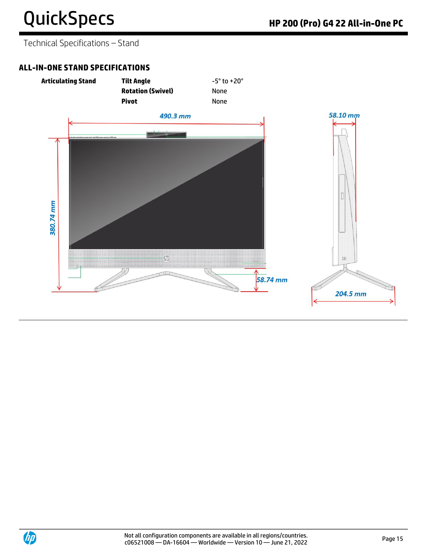Technical Specifications – Stand

# **ALL-IN-ONE STAND SPECIFICATIONS**



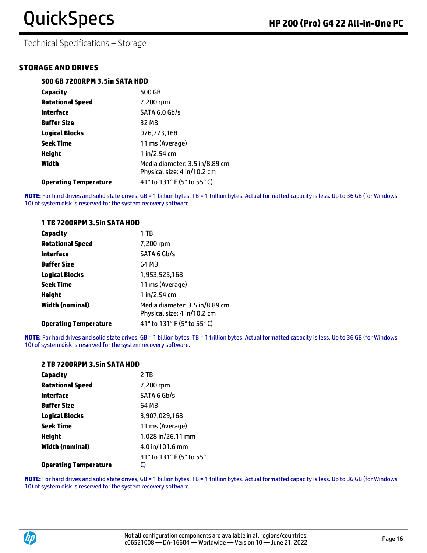Technical Specifications – Storage

# **STORAGE AND DRIVES**

| <b>500 GB 7200RPM 3.5in SATA HDD</b> |                                                               |
|--------------------------------------|---------------------------------------------------------------|
| Capacity                             | 500 GB                                                        |
| <b>Rotational Speed</b>              | 7,200 rpm                                                     |
| Interface                            | SATA 6.0 Gb/s                                                 |
| <b>Buffer Size</b>                   | 32 MB                                                         |
| <b>Logical Blocks</b>                | 976,773,168                                                   |
| Seek Time                            | 11 ms (Average)                                               |
| <b>Height</b>                        | 1 in/2.54 cm                                                  |
| Width                                | Media diameter: 3.5 in/8.89 cm<br>Physical size: 4 in/10.2 cm |
| <b>Operating Temperature</b>         | 41° to 131° F (5° to 55° C)                                   |
|                                      |                                                               |

**NOTE:** For hard drives and solid state drives, GB = 1 billion bytes. TB = 1 trillion bytes. Actual formatted capacity is less. Up to 36 GB (for Windows 10) of system disk is reserved for the system recovery software.

| 1 TB 7200RPM 3.5in SATA HDD  |                                                               |
|------------------------------|---------------------------------------------------------------|
| Capacity                     | 1 TB                                                          |
| <b>Rotational Speed</b>      | 7,200 rpm                                                     |
| Interface                    | SATA 6 Gb/s                                                   |
| <b>Buffer Size</b>           | 64 MB                                                         |
| Logical Blocks               | 1,953,525,168                                                 |
| <b>Seek Time</b>             | 11 ms (Average)                                               |
| Height                       | 1 in/2.54 cm                                                  |
| <b>Width (nominal)</b>       | Media diameter: 3.5 in/8.89 cm<br>Physical size: 4 in/10.2 cm |
| <b>Operating Temperature</b> | 41° to 131° F (5° to 55° C)                                   |

**NOTE:** For hard drives and solid state drives, GB = 1 billion bytes. TB = 1 trillion bytes. Actual formatted capacity is less. Up to 36 GB (for Windows 10) of system disk is reserved for the system recovery software.

| Capacity                     | 2 TB                     |
|------------------------------|--------------------------|
| <b>Rotational Speed</b>      | 7,200 rpm                |
| Interface                    | SATA 6 Gb/s              |
| <b>Buffer Size</b>           | 64 MB                    |
| <b>Logical Blocks</b>        | 3,907,029,168            |
| <b>Seek Time</b>             | 11 ms (Average)          |
| <b>Height</b>                | 1.028 in/26.11 mm        |
| Width (nominal)              | 4.0 in/101.6 mm          |
|                              | 41° to 131° F (5° to 55° |
| <b>Operating Temperature</b> | C)                       |

**NOTE:** For hard drives and solid state drives, GB = 1 billion bytes. TB = 1 trillion bytes. Actual formatted capacity is less. Up to 36 GB (for Windows 10) of system disk is reserved for the system recovery software.

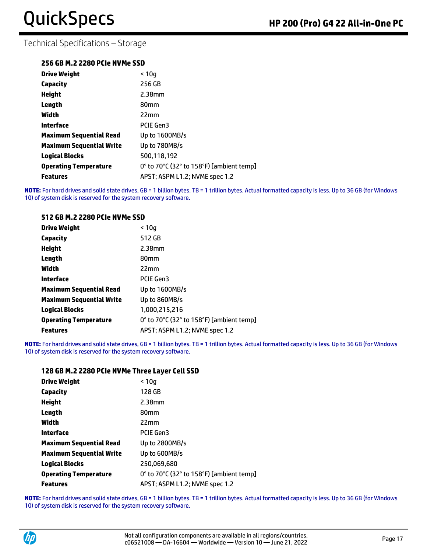Technical Specifications – Storage

**512 GB M.2 2280 PCIe NVMe SSD**

| 256 GB M.2 2280 PCIe NVMe SSD   |                                          |
|---------------------------------|------------------------------------------|
| <b>Drive Weight</b>             | < 10a                                    |
| Capacity                        | 256 GB                                   |
| <b>Height</b>                   | 2.38mm                                   |
| Length                          | 80 <sub>mm</sub>                         |
| Width                           | 22mm                                     |
| Interface                       | PCIE Gen3                                |
| <b>Maximum Sequential Read</b>  | Up to 1600MB/s                           |
| <b>Maximum Sequential Write</b> | Up to 780MB/s                            |
| Logical Blocks                  | 500,118,192                              |
| <b>Operating Temperature</b>    | 0° to 70°C (32° to 158°F) [ambient temp] |
| <b>Features</b>                 | APST; ASPM L1.2; NVME spec 1.2           |

**NOTE:** For hard drives and solid state drives, GB = 1 billion bytes. TB = 1 trillion bytes. Actual formatted capacity is less. Up to 36 GB (for Windows 10) of system disk is reserved for the system recovery software.

| <b>Drive Weight</b>             | < 10q                                    |
|---------------------------------|------------------------------------------|
| Capacity                        | 512 GB                                   |
| <b>Height</b>                   | 2.38mm                                   |
| Length                          | 80 <sub>mm</sub>                         |
| Width                           | 22mm                                     |
| Interface                       | PCIE Gen3                                |
| <b>Maximum Sequential Read</b>  | Up to 1600MB/s                           |
| <b>Maximum Sequential Write</b> | Up to 860MB/s                            |
| <b>Logical Blocks</b>           | 1,000,215,216                            |
| <b>Operating Temperature</b>    | 0° to 70°C (32° to 158°F) [ambient temp] |
| <b>Features</b>                 | APST; ASPM L1.2; NVME spec 1.2           |
|                                 |                                          |

**NOTE:** For hard drives and solid state drives, GB = 1 billion bytes. TB = 1 trillion bytes. Actual formatted capacity is less. Up to 36 GB (for Windows 10) of system disk is reserved for the system recovery software.

### **128 GB M.2 2280 PCIe NVMe Three Layer Cell SSD**

| <b>Drive Weight</b>             | < 10a                                    |
|---------------------------------|------------------------------------------|
| Capacity                        | 128 GB                                   |
| Height                          | 2.38mm                                   |
| Length                          | 80 <sub>mm</sub>                         |
| Width                           | 22mm                                     |
| Interface                       | <b>PCIE Gen3</b>                         |
| <b>Maximum Sequential Read</b>  | Up to 2800MB/s                           |
| <b>Maximum Sequential Write</b> | Up to 600MB/s                            |
| <b>Logical Blocks</b>           | 250,069,680                              |
| <b>Operating Temperature</b>    | 0° to 70°C (32° to 158°F) [ambient temp] |
| <b>Features</b>                 | APST; ASPM L1.2; NVME spec 1.2           |

**NOTE:** For hard drives and solid state drives, GB = 1 billion bytes. TB = 1 trillion bytes. Actual formatted capacity is less. Up to 36 GB (for Windows 10) of system disk is reserved for the system recovery software.

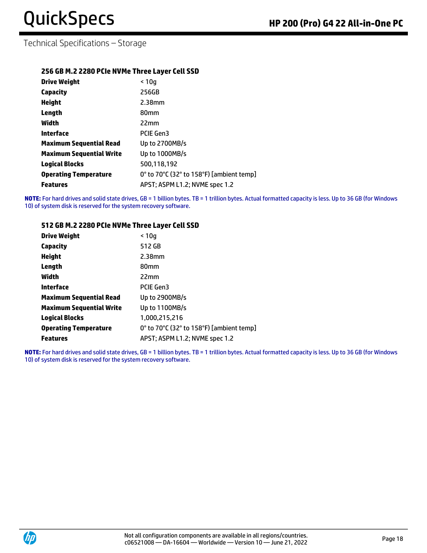Technical Specifications – Storage

### **256 GB M.2 2280 PCIe NVMe Three Layer Cell SSD**

| <b>Drive Weight</b>             | < 10q                                    |
|---------------------------------|------------------------------------------|
| <b>Capacity</b>                 | 256GB                                    |
| <b>Height</b>                   | 2.38mm                                   |
| Length                          | 80 <sub>mm</sub>                         |
| Width                           | 22mm                                     |
| Interface                       | <b>PCIE Gen3</b>                         |
| <b>Maximum Sequential Read</b>  | Up to 2700MB/s                           |
| <b>Maximum Sequential Write</b> | Up to 1000MB/s                           |
| <b>Logical Blocks</b>           | 500,118,192                              |
| <b>Operating Temperature</b>    | 0° to 70°C (32° to 158°F) [ambient temp] |
| <b>Features</b>                 | APST; ASPM L1.2; NVME spec 1.2           |

**NOTE:** For hard drives and solid state drives, GB = 1 billion bytes. TB = 1 trillion bytes. Actual formatted capacity is less. Up to 36 GB (for Windows 10) of system disk is reserved for the system recovery software.

#### **512 GB M.2 2280 PCIe NVMe Three Layer Cell SSD**

| <b>Drive Weight</b>             | < 10a                                    |
|---------------------------------|------------------------------------------|
| Capacity                        | 512 GB                                   |
| Height                          | 2.38mm                                   |
| Length                          | 80 <sub>mm</sub>                         |
| Width                           | 22mm                                     |
| Interface                       | PCIE Gen3                                |
| Maximum Sequential Read         | Up to 2900MB/s                           |
| <b>Maximum Sequential Write</b> | Up to 1100MB/s                           |
| <b>Logical Blocks</b>           | 1,000,215,216                            |
| <b>Operating Temperature</b>    | 0° to 70°C (32° to 158°F) [ambient temp] |
| <b>Features</b>                 | APST; ASPM L1.2; NVME spec 1.2           |

**NOTE:** For hard drives and solid state drives, GB = 1 billion bytes. TB = 1 trillion bytes. Actual formatted capacity is less. Up to 36 GB (for Windows 10) of system disk is reserved for the system recovery software.

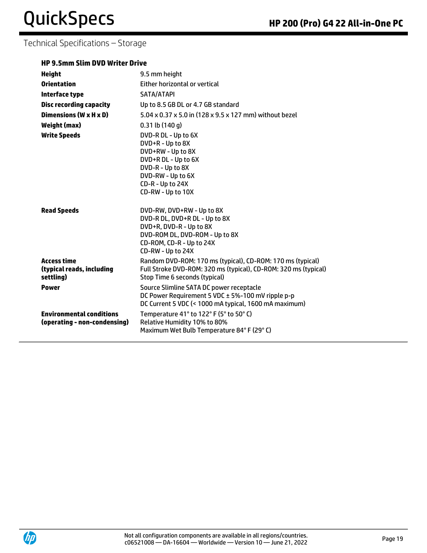Technical Specifications – Storage

| Height                                                          | 9.5 mm height                                                                                                                                                            |
|-----------------------------------------------------------------|--------------------------------------------------------------------------------------------------------------------------------------------------------------------------|
| <b>Orientation</b>                                              | Either horizontal or vertical                                                                                                                                            |
| Interface type                                                  | SATA/ATAPI                                                                                                                                                               |
| <b>Disc recording capacity</b>                                  | Up to 8.5 GB DL or 4.7 GB standard                                                                                                                                       |
| Dimensions (W x H x D)                                          | 5.04 x 0.37 x 5.0 in (128 x 9.5 x 127 mm) without bezel                                                                                                                  |
| Weight (max)                                                    | $0.31$ lb $(140q)$                                                                                                                                                       |
| <b>Write Speeds</b>                                             | DVD-R DL - Up to 6X<br>DVD+R - Up to 8X<br>DVD+RW - Up to 8X<br>DVD+R DL - Up to 6X<br>DVD-R - Up to 8X<br>DVD-RW - Up to 6X<br>CD-R - Up to 24X<br>CD-RW - Up to 10X    |
| <b>Read Speeds</b>                                              | DVD-RW, DVD+RW - Up to 8X<br>DVD-R DL, DVD+R DL - Up to 8X<br>DVD+R, DVD-R - Up to 8X<br>DVD-ROM DL, DVD-ROM - Up to 8X<br>CD-ROM, CD-R - Up to 24X<br>CD-RW - Up to 24X |
| <b>Access time</b><br>(typical reads, including<br>settling)    | Random DVD-ROM: 170 ms (typical), CD-ROM: 170 ms (typical)<br>Full Stroke DVD-ROM: 320 ms (typical), CD-ROM: 320 ms (typical)<br>Stop Time 6 seconds (typical)           |
| <b>Power</b>                                                    | Source Slimline SATA DC power receptacle<br>DC Power Requirement 5 VDC ± 5%-100 mV ripple p-p<br>DC Current 5 VDC (< 1000 mA typical, 1600 mA maximum)                   |
| <b>Environmental conditions</b><br>(operating - non-condensing) | Temperature 41° to 122° F (5° to 50° C)<br>Relative Humidity 10% to 80%<br>Maximum Wet Bulb Temperature 84°F (29°C)                                                      |

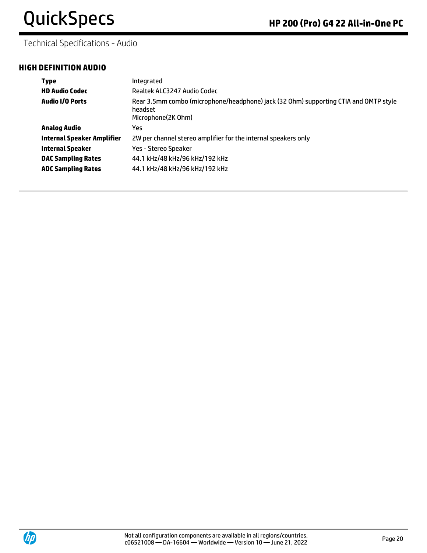Technical Specifications - Audio

# **HIGH DEFINITION AUDIO**

| Type                              | Integrated                                                                                                            |
|-----------------------------------|-----------------------------------------------------------------------------------------------------------------------|
| <b>HD Audio Codec</b>             | Realtek ALC3247 Audio Codec                                                                                           |
| <b>Audio I/O Ports</b>            | Rear 3.5mm combo (microphone/headphone) jack (32 Ohm) supporting CTIA and OMTP style<br>headset<br>Microphone(2K Ohm) |
| Analog Audio                      | Yes                                                                                                                   |
| <b>Internal Speaker Amplifier</b> | 2W per channel stereo amplifier for the internal speakers only                                                        |
| <b>Internal Speaker</b>           | Yes - Stereo Speaker                                                                                                  |
| <b>DAC Sampling Rates</b>         | 44.1 kHz/48 kHz/96 kHz/192 kHz                                                                                        |
| <b>ADC Sampling Rates</b>         | 44.1 kHz/48 kHz/96 kHz/192 kHz                                                                                        |

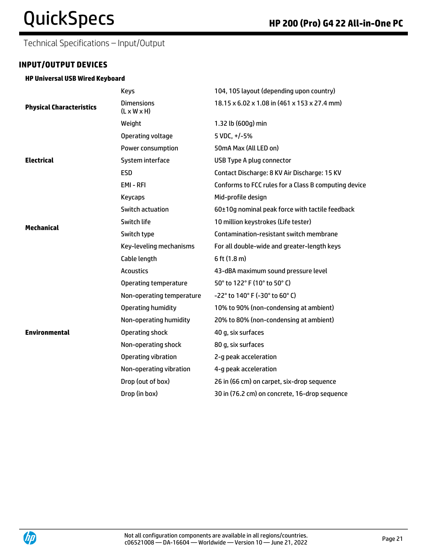Technical Specifications – Input/Output

# **INPUT/OUTPUT DEVICES**

#### **HP Universal USB Wired Keyboard**

|                                 | <b>Keys</b>                                  | 104, 105 layout (depending upon country)             |
|---------------------------------|----------------------------------------------|------------------------------------------------------|
| <b>Physical Characteristics</b> | <b>Dimensions</b><br>$(L \times W \times H)$ | 18.15 x 6.02 x 1.08 in (461 x 153 x 27.4 mm)         |
|                                 | Weight                                       | 1.32 lb (600g) min                                   |
|                                 | Operating voltage                            | 5 VDC, +/-5%                                         |
|                                 | Power consumption                            | 50mA Max (All LED on)                                |
| <b>Electrical</b>               | System interface                             | USB Type A plug connector                            |
|                                 | <b>ESD</b>                                   | Contact Discharge: 8 KV Air Discharge: 15 KV         |
|                                 | <b>EMI-RFI</b>                               | Conforms to FCC rules for a Class B computing device |
|                                 | <b>Keycaps</b>                               | Mid-profile design                                   |
|                                 | Switch actuation                             | 60±10g nominal peak force with tactile feedback      |
| <b>Mechanical</b>               | Switch life                                  | 10 million keystrokes (Life tester)                  |
|                                 | Switch type                                  | Contamination-resistant switch membrane              |
|                                 | Key-leveling mechanisms                      | For all double-wide and greater-length keys          |
|                                 | Cable length                                 | $6$ ft $(1.8 m)$                                     |
|                                 | <b>Acoustics</b>                             | 43-dBA maximum sound pressure level                  |
|                                 | Operating temperature                        | 50° to 122° F (10° to 50° C)                         |
|                                 | Non-operating temperature                    | -22° to 140° F (-30° to 60° C)                       |
|                                 | <b>Operating humidity</b>                    | 10% to 90% (non-condensing at ambient)               |
|                                 | Non-operating humidity                       | 20% to 80% (non-condensing at ambient)               |
| <b>Environmental</b>            | Operating shock                              | 40 g, six surfaces                                   |
|                                 | Non-operating shock                          | 80 g, six surfaces                                   |
|                                 | Operating vibration                          | 2-g peak acceleration                                |
|                                 | Non-operating vibration                      | 4-g peak acceleration                                |
|                                 | Drop (out of box)                            | 26 in (66 cm) on carpet, six-drop sequence           |
|                                 | Drop (in box)                                | 30 in (76.2 cm) on concrete, 16-drop sequence        |
|                                 |                                              |                                                      |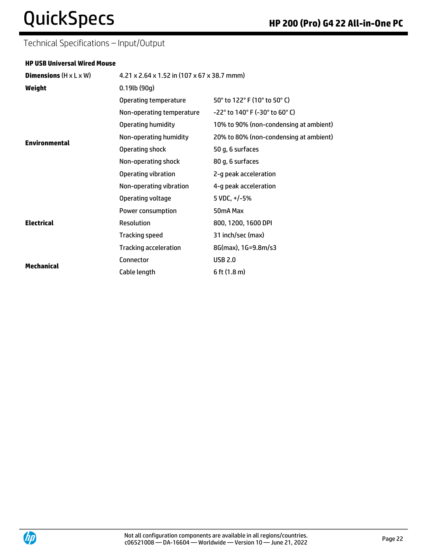Technical Specifications – Input/Output

#### **HP USB Universal Wired Mouse**

| <b>Dimensions</b> $(H \times L \times W)$ | 4.21 x 2.64 x 1.52 in (107 x 67 x 38.7 mmm) |                                        |
|-------------------------------------------|---------------------------------------------|----------------------------------------|
| Weight                                    | $0.19$ lb $(90q)$                           |                                        |
|                                           | Operating temperature                       | 50° to 122° F (10° to 50° C)           |
|                                           | Non-operating temperature                   | -22° to 140° F (-30° to 60° C)         |
|                                           | <b>Operating humidity</b>                   | 10% to 90% (non-condensing at ambient) |
| <b>Environmental</b>                      | Non-operating humidity                      | 20% to 80% (non-condensing at ambient) |
|                                           | Operating shock                             | 50 g, 6 surfaces                       |
|                                           | Non-operating shock                         | 80 g, 6 surfaces                       |
|                                           | Operating vibration                         | 2-g peak acceleration                  |
|                                           | Non-operating vibration                     | 4-g peak acceleration                  |
|                                           | Operating voltage                           | 5 VDC, +/-5%                           |
|                                           | Power consumption                           | 50mA Max                               |
| <b>Electrical</b>                         | Resolution                                  | 800, 1200, 1600 DPI                    |
|                                           | <b>Tracking speed</b>                       | 31 inch/sec (max)                      |
|                                           | <b>Tracking acceleration</b>                | 8G(max), 1G=9.8m/s3                    |
| <b>Mechanical</b>                         | Connector                                   | <b>USB 2.0</b>                         |
|                                           | Cable length                                | 6 ft (1.8 m)                           |

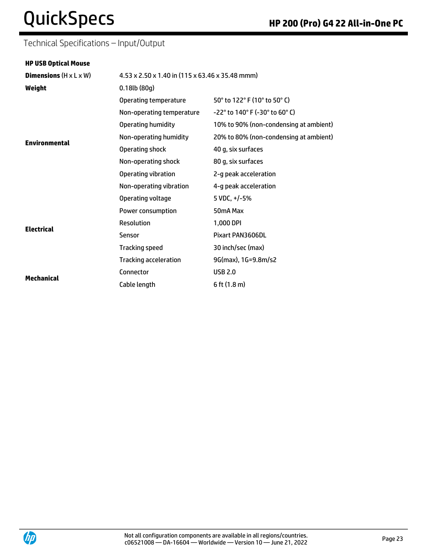Technical Specifications – Input/Output

#### **HP USB Optical Mouse**

| <b>Dimensions</b> $(H \times L \times W)$ | 4.53 x 2.50 x 1.40 in (115 x 63.46 x 35.48 mmm) |                                        |
|-------------------------------------------|-------------------------------------------------|----------------------------------------|
| Weight                                    | $0.18$ lb $(80q)$                               |                                        |
|                                           | Operating temperature                           | 50° to 122° F (10° to 50° C)           |
|                                           | Non-operating temperature                       | -22° to 140° F (-30° to 60° C)         |
|                                           | <b>Operating humidity</b>                       | 10% to 90% (non-condensing at ambient) |
| <b>Environmental</b>                      | Non-operating humidity                          | 20% to 80% (non-condensing at ambient) |
|                                           | Operating shock                                 | 40 g, six surfaces                     |
|                                           | Non-operating shock                             | 80 g, six surfaces                     |
|                                           | Operating vibration                             | 2-g peak acceleration                  |
|                                           | Non-operating vibration                         | 4-g peak acceleration                  |
|                                           | Operating voltage                               | 5 VDC, +/-5%                           |
|                                           | Power consumption                               | 50mA Max                               |
| <b>Electrical</b>                         | Resolution                                      | 1,000 DPI                              |
|                                           | Sensor                                          | Pixart PAN3606DL                       |
|                                           | <b>Tracking speed</b>                           | 30 inch/sec (max)                      |
|                                           | <b>Tracking acceleration</b>                    | 9G(max), 1G=9.8m/s2                    |
| <b>Mechanical</b>                         | Connector                                       | <b>USB 2.0</b>                         |
|                                           | Cable length                                    | 6 ft (1.8 m)                           |

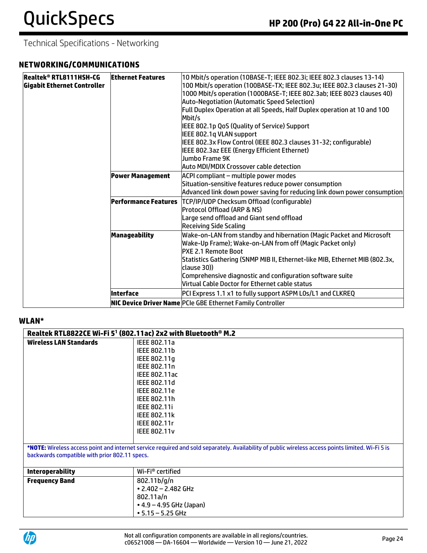Technical Specifications - Networking

# **NETWORKING/COMMUNICATIONS**

| <b>Realtek® RTL8111HSH-CG</b>      | <b>Ethernet Features</b> | 10 Mbit/s operation (10BASE-T; IEEE 802.3i; IEEE 802.3 clauses 13-14)       |
|------------------------------------|--------------------------|-----------------------------------------------------------------------------|
|                                    |                          |                                                                             |
| <b>Gigabit Ethernet Controller</b> |                          | 100 Mbit/s operation (100BASE-TX; IEEE 802.3u; IEEE 802.3 clauses 21-30)    |
|                                    |                          | 1000 Mbit/s operation (1000BASE-T; IEEE 802.3ab; IEEE 8023 clauses 40)      |
|                                    |                          | Auto-Negotiation (Automatic Speed Selection)                                |
|                                    |                          | Full Duplex Operation at all Speeds, Half Duplex operation at 10 and 100    |
|                                    |                          | Mbit/s                                                                      |
|                                    |                          | IEEE 802.1p QoS (Quality of Service) Support                                |
|                                    |                          | IEEE 802.1q VLAN support                                                    |
|                                    |                          | IEEE 802.3x Flow Control (IEEE 802.3 clauses 31-32; configurable)           |
|                                    |                          | IEEE 802.3az EEE (Energy Efficient Ethernet)                                |
|                                    |                          | Jumbo Frame 9K                                                              |
|                                    |                          | Auto MDI/MDIX Crossover cable detection                                     |
|                                    | <b>Power Management</b>  | ACPI compliant - multiple power modes                                       |
|                                    |                          | Situation-sensitive features reduce power consumption                       |
|                                    |                          | Advanced link down power saving for reducing link down power consumption    |
|                                    |                          | Performance Features  TCP/IP/UDP Checksum Offload (configurable)            |
|                                    |                          | <b>Protocol Offload (ARP &amp; NS)</b>                                      |
|                                    |                          | Large send offload and Giant send offload                                   |
|                                    |                          | <b>Receiving Side Scaling</b>                                               |
|                                    | Manageability            | Wake-on-LAN from standby and hibernation (Magic Packet and Microsoft        |
|                                    |                          | Wake-Up Frame); Wake-on-LAN from off (Magic Packet only)                    |
|                                    |                          | <b>PXE 2.1 Remote Boot</b>                                                  |
|                                    |                          | Statistics Gathering (SNMP MIB II, Ethernet-like MIB, Ethernet MIB (802.3x, |
|                                    |                          | lclause 30))                                                                |
|                                    |                          | Comprehensive diagnostic and configuration software suite                   |
|                                    |                          | Virtual Cable Doctor for Ethernet cable status                              |
|                                    | Interface                |                                                                             |
|                                    |                          | PCI Express 1.1 x1 to fully support ASPM LOs/L1 and CLKREQ                  |
|                                    |                          | <b>NIC Device Driver Name PCIe GBE Ethernet Family Controller</b>           |

#### **WLAN\***

|                                               | Realtek RTL8822CE Wi-Fi 5 <sup>1</sup> (802.11ac) 2x2 with Bluetooth <sup>®</sup> M.2                                                             |
|-----------------------------------------------|---------------------------------------------------------------------------------------------------------------------------------------------------|
| <b>Wireless LAN Standards</b>                 | IEEE 802.11a                                                                                                                                      |
|                                               | IEEE 802.11b                                                                                                                                      |
|                                               | IEEE 802.11g                                                                                                                                      |
|                                               | IEEE 802.11n                                                                                                                                      |
|                                               | IEEE 802.11ac                                                                                                                                     |
|                                               | IEEE 802.11d                                                                                                                                      |
|                                               | IEEE 802.11e                                                                                                                                      |
|                                               | IEEE 802.11h                                                                                                                                      |
|                                               | <b>IEEE 802.11i</b>                                                                                                                               |
|                                               | <b>IEEE 802.11k</b>                                                                                                                               |
|                                               | IEEE 802.11r                                                                                                                                      |
|                                               | <b>IEEE 802.11v</b>                                                                                                                               |
|                                               |                                                                                                                                                   |
| backwards compatible with prior 802.11 specs. | *NOTE: Wireless access point and internet service required and sold separately. Availability of public wireless access points limited. Wi-Fi 5 is |
| <b>Interoperability</b>                       | Wi-Fi <sup>®</sup> certified                                                                                                                      |
| <b>Frequency Band</b>                         | 802.11 <sub>b</sub> /q/n                                                                                                                          |
|                                               | $\cdot$ 2.402 - 2.482 GHz                                                                                                                         |
|                                               | 802.11a/n                                                                                                                                         |
|                                               | $\bullet$ 4.9 – 4.95 GHz (Japan)                                                                                                                  |
|                                               | $• 5.15 - 5.25$ GHz                                                                                                                               |
|                                               |                                                                                                                                                   |

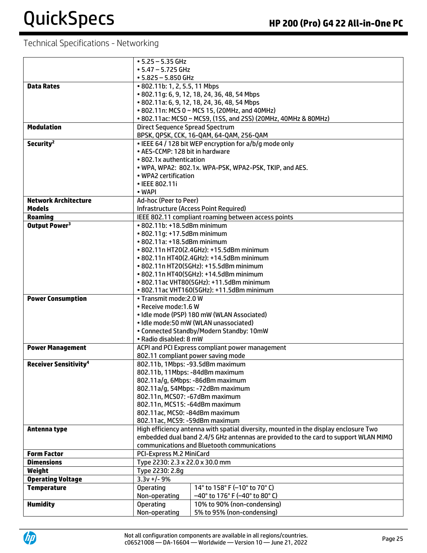|                                         | $• 5.25 - 5.35$ GHz                                                            |                                                                                      |  |
|-----------------------------------------|--------------------------------------------------------------------------------|--------------------------------------------------------------------------------------|--|
|                                         | $\cdot$ 5.47 – 5.725 GHz                                                       |                                                                                      |  |
|                                         | $• 5.825 - 5.850$ GHz                                                          |                                                                                      |  |
| <b>Data Rates</b>                       | • 802.11b: 1, 2, 5.5, 11 Mbps                                                  |                                                                                      |  |
|                                         | • 802.11g: 6, 9, 12, 18, 24, 36, 48, 54 Mbps                                   |                                                                                      |  |
|                                         | • 802.11a: 6, 9, 12, 18, 24, 36, 48, 54 Mbps                                   |                                                                                      |  |
|                                         | • 802.11n: MCS 0 ~ MCS 15, (20MHz, and 40MHz)                                  |                                                                                      |  |
|                                         | • 802.11ac: MCS0 ~ MCS9, (1SS, and 2SS) (20MHz, 40MHz & 80MHz)                 |                                                                                      |  |
| <b>Modulation</b>                       | <b>Direct Sequence Spread Spectrum</b>                                         |                                                                                      |  |
|                                         | BPSK, QPSK, CCK, 16-QAM, 64-QAM, 256-QAM                                       |                                                                                      |  |
| Security <sup>2</sup>                   | • IEEE 64 / 128 bit WEP encryption for a/b/g mode only                         |                                                                                      |  |
|                                         | • AES-CCMP: 128 bit in hardware                                                |                                                                                      |  |
|                                         | • 802.1x authentication                                                        |                                                                                      |  |
|                                         | • WPA, WPA2: 802.1x. WPA-PSK, WPA2-PSK, TKIP, and AES.                         |                                                                                      |  |
|                                         | • WPA2 certification                                                           |                                                                                      |  |
|                                         | • IEEE 802.11i                                                                 |                                                                                      |  |
|                                         | • WAPI                                                                         |                                                                                      |  |
| <b>Network Architecture</b>             | Ad-hoc (Peer to Peer)                                                          |                                                                                      |  |
| <b>Models</b>                           |                                                                                | <b>Infrastructure (Access Point Required)</b>                                        |  |
| <b>Roaming</b>                          | IEEE 802.11 compliant roaming between access points                            |                                                                                      |  |
| Output Power <sup>3</sup>               | • 802.11b: +18.5dBm minimum                                                    |                                                                                      |  |
|                                         | • 802.11g: +17.5dBm minimum                                                    |                                                                                      |  |
|                                         | • 802.11a: +18.5dBm minimum                                                    |                                                                                      |  |
|                                         | • 802.11n HT20(2.4GHz): +15.5dBm minimum                                       |                                                                                      |  |
|                                         | • 802.11n HT40(2.4GHz): +14.5dBm minimum                                       |                                                                                      |  |
|                                         | • 802.11n HT20(5GHz): +15.5dBm minimum                                         |                                                                                      |  |
|                                         |                                                                                | • 802.11n HT40(5GHz): +14.5dBm minimum                                               |  |
|                                         | • 802.11ac VHT80(5GHz): +11.5dBm minimum                                       |                                                                                      |  |
|                                         | • 802.11ac VHT160(5GHz): +11.5dBm minimum                                      |                                                                                      |  |
| <b>Power Consumption</b>                | • Transmit mode: 2.0 W                                                         |                                                                                      |  |
|                                         | • Receive mode:1.6 W                                                           |                                                                                      |  |
|                                         | · Idle mode (PSP) 180 mW (WLAN Associated)                                     |                                                                                      |  |
|                                         | • Idle mode:50 mW (WLAN unassociated)                                          |                                                                                      |  |
|                                         | • Connected Standby/Modern Standby: 10mW                                       |                                                                                      |  |
|                                         | • Radio disabled: 8 mW                                                         |                                                                                      |  |
| <b>Power Management</b>                 | ACPI and PCI Express compliant power management                                |                                                                                      |  |
|                                         | 802.11 compliant power saving mode                                             |                                                                                      |  |
| <b>Receiver Sensitivity<sup>4</sup></b> | 802.11b, 1Mbps: -93.5dBm maximum                                               |                                                                                      |  |
|                                         | 802.11b, 11Mbps: -84dBm maximum                                                |                                                                                      |  |
|                                         | 802.11a/g, 6Mbps: -86dBm maximum                                               |                                                                                      |  |
|                                         | 802.11a/g, 54Mbps: -72dBm maximum                                              |                                                                                      |  |
|                                         | 802.11n, MCS07: -67dBm maximum                                                 |                                                                                      |  |
|                                         | 802.11n, MCS15: -64dBm maximum                                                 |                                                                                      |  |
|                                         | 802.11ac, MCS0: -84dBm maximum<br>802.11ac, MCS9: -59dBm maximum               |                                                                                      |  |
| Antenna type                            |                                                                                | High efficiency antenna with spatial diversity, mounted in the display enclosure Two |  |
|                                         |                                                                                | embedded dual band 2.4/5 GHz antennas are provided to the card to support WLAN MIMO  |  |
|                                         |                                                                                |                                                                                      |  |
| <b>Form Factor</b>                      | communications and Bluetooth communications<br><b>PCI-Express M.2 MiniCard</b> |                                                                                      |  |
| <b>Dimensions</b>                       |                                                                                |                                                                                      |  |
| Weight                                  |                                                                                | Type 2230: 2.3 x 22.0 x 30.0 mm                                                      |  |
| <b>Operating Voltage</b>                | $3.3v +/- 9%$                                                                  | Type 2230: 2.8g                                                                      |  |
| <b>Temperature</b>                      | <b>Operating</b>                                                               | 14° to 158° F (-10° to 70° C)                                                        |  |
|                                         |                                                                                | -40° to 176° F (-40° to 80° C)                                                       |  |
|                                         | Non-operating                                                                  |                                                                                      |  |
| <b>Humidity</b>                         | <b>Operating</b>                                                               | 10% to 90% (non-condensing)                                                          |  |
|                                         | Non-operating                                                                  | 5% to 95% (non-condensing)                                                           |  |

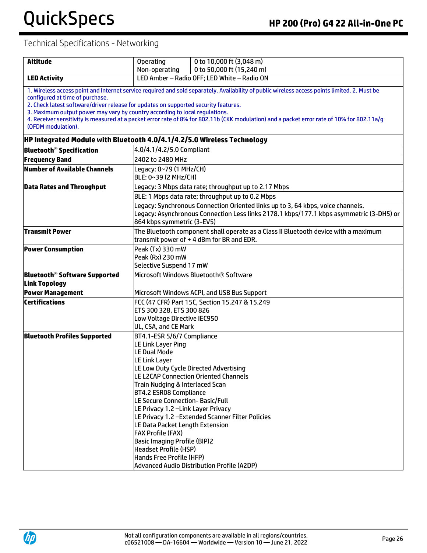| <b>Altitude</b>                                                                                                                                                                                                             | <b>Operating</b>                                                                                                                                                                                                                                                                                                                                                                                                                                                                                                                                                                                | 0 to 10,000 ft (3,048 m)                                                                                                                                                                                                                                                                    |  |
|-----------------------------------------------------------------------------------------------------------------------------------------------------------------------------------------------------------------------------|-------------------------------------------------------------------------------------------------------------------------------------------------------------------------------------------------------------------------------------------------------------------------------------------------------------------------------------------------------------------------------------------------------------------------------------------------------------------------------------------------------------------------------------------------------------------------------------------------|---------------------------------------------------------------------------------------------------------------------------------------------------------------------------------------------------------------------------------------------------------------------------------------------|--|
|                                                                                                                                                                                                                             | Non-operating                                                                                                                                                                                                                                                                                                                                                                                                                                                                                                                                                                                   | 0 to 50,000 ft (15,240 m)                                                                                                                                                                                                                                                                   |  |
| <b>LED Activity</b>                                                                                                                                                                                                         | LED Amber - Radio OFF; LED White - Radio ON                                                                                                                                                                                                                                                                                                                                                                                                                                                                                                                                                     |                                                                                                                                                                                                                                                                                             |  |
| configured at time of purchase.<br>2. Check latest software/driver release for updates on supported security features.<br>3. Maximum output power may vary by country according to local regulations.<br>(OFDM modulation). |                                                                                                                                                                                                                                                                                                                                                                                                                                                                                                                                                                                                 | 1. Wireless access point and Internet service required and sold separately. Availability of public wireless access points limited. 2. Must be<br>4. Receiver sensitivity is measured at a packet error rate of 8% for 802.11b (CKK modulation) and a packet error rate of 10% for 802.11a/g |  |
| HP Integrated Module with Bluetooth 4.0/4.1/4.2/5.0 Wireless Technology                                                                                                                                                     |                                                                                                                                                                                                                                                                                                                                                                                                                                                                                                                                                                                                 |                                                                                                                                                                                                                                                                                             |  |
| Bluetooth® Specification                                                                                                                                                                                                    | 4.0/4.1/4.2/5.0 Compliant                                                                                                                                                                                                                                                                                                                                                                                                                                                                                                                                                                       |                                                                                                                                                                                                                                                                                             |  |
| <b>Frequency Band</b>                                                                                                                                                                                                       | 2402 to 2480 MHz                                                                                                                                                                                                                                                                                                                                                                                                                                                                                                                                                                                |                                                                                                                                                                                                                                                                                             |  |
| Number of Available Channels                                                                                                                                                                                                | Legacy: 0~79 (1 MHz/CH)<br>BLE: 0~39 (2 MHz/CH)                                                                                                                                                                                                                                                                                                                                                                                                                                                                                                                                                 |                                                                                                                                                                                                                                                                                             |  |
| <b>Data Rates and Throughput</b>                                                                                                                                                                                            |                                                                                                                                                                                                                                                                                                                                                                                                                                                                                                                                                                                                 | Legacy: 3 Mbps data rate; throughput up to 2.17 Mbps                                                                                                                                                                                                                                        |  |
|                                                                                                                                                                                                                             |                                                                                                                                                                                                                                                                                                                                                                                                                                                                                                                                                                                                 | BLE: 1 Mbps data rate; throughput up to 0.2 Mbps                                                                                                                                                                                                                                            |  |
|                                                                                                                                                                                                                             | Legacy: Synchronous Connection Oriented links up to 3, 64 kbps, voice channels.<br>Legacy: Asynchronous Connection Less links 2178.1 kbps/177.1 kbps asymmetric (3-DH5) or<br>864 kbps symmetric (3-EV5)                                                                                                                                                                                                                                                                                                                                                                                        |                                                                                                                                                                                                                                                                                             |  |
| <b>Transmit Power</b>                                                                                                                                                                                                       | The Bluetooth component shall operate as a Class II Bluetooth device with a maximum<br>transmit power of +4 dBm for BR and EDR.                                                                                                                                                                                                                                                                                                                                                                                                                                                                 |                                                                                                                                                                                                                                                                                             |  |
| <b>Power Consumption</b>                                                                                                                                                                                                    | Peak (Tx) 330 mW<br>Peak (Rx) 230 mW<br>Selective Suspend 17 mW                                                                                                                                                                                                                                                                                                                                                                                                                                                                                                                                 |                                                                                                                                                                                                                                                                                             |  |
| <b>Bluetooth<sup>®</sup> Software Supported</b><br><b>Link Topology</b>                                                                                                                                                     | Microsoft Windows Bluetooth® Software                                                                                                                                                                                                                                                                                                                                                                                                                                                                                                                                                           |                                                                                                                                                                                                                                                                                             |  |
| <b>Power Management</b>                                                                                                                                                                                                     | Microsoft Windows ACPI, and USB Bus Support                                                                                                                                                                                                                                                                                                                                                                                                                                                                                                                                                     |                                                                                                                                                                                                                                                                                             |  |
| Certifications                                                                                                                                                                                                              | FCC (47 CFR) Part 15C, Section 15.247 & 15.249<br>ETS 300 328, ETS 300 826<br>Low Voltage Directive IEC950<br>UL, CSA, and CE Mark                                                                                                                                                                                                                                                                                                                                                                                                                                                              |                                                                                                                                                                                                                                                                                             |  |
| <b>Bluetooth Profiles Supported</b>                                                                                                                                                                                         | BT4.1-ESR 5/6/7 Compliance<br>LE Link Layer Ping<br>LE Dual Mode<br><b>LE Link Layer</b><br>LE Low Duty Cycle Directed Advertising<br>LE L2CAP Connection Oriented Channels<br>Train Nudging & Interlaced Scan<br><b>BT4.2 ESR08 Compliance</b><br>LE Secure Connection- Basic/Full<br>LE Privacy 1.2 - Link Layer Privacy<br>LE Privacy 1.2 - Extended Scanner Filter Policies<br>LE Data Packet Length Extension<br><b>FAX Profile (FAX)</b><br><b>Basic Imaging Profile (BIP)2</b><br><b>Headset Profile (HSP)</b><br>Hands Free Profile (HFP)<br>Advanced Audio Distribution Profile (A2DP) |                                                                                                                                                                                                                                                                                             |  |

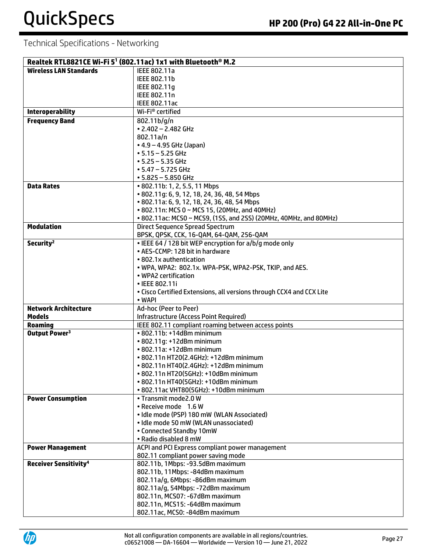| Realtek RTL8821CE Wi-Fi 5 <sup>1</sup> (802.11ac) 1x1 with Bluetooth <sup>®</sup> M.2 |                                                                                        |
|---------------------------------------------------------------------------------------|----------------------------------------------------------------------------------------|
| <b>Wireless LAN Standards</b>                                                         | IEEE 802.11a                                                                           |
|                                                                                       | IEEE 802.11b                                                                           |
|                                                                                       | IEEE 802.11g                                                                           |
|                                                                                       | IEEE 802.11n                                                                           |
|                                                                                       | IEEE 802.11ac                                                                          |
| <b>Interoperability</b>                                                               | Wi-Fi <sup>®</sup> certified                                                           |
| <b>Frequency Band</b>                                                                 | 802.11b/g/n                                                                            |
|                                                                                       | $\cdot$ 2.402 - 2.482 GHz                                                              |
|                                                                                       | 802.11a/n                                                                              |
|                                                                                       | • 4.9 – 4.95 GHz (Japan)                                                               |
|                                                                                       | $• 5.15 - 5.25$ GHz                                                                    |
|                                                                                       | $\cdot$ 5.25 – 5.35 GHz                                                                |
|                                                                                       | $• 5.47 - 5.725$ GHz                                                                   |
|                                                                                       | $• 5.825 - 5.850$ GHz                                                                  |
| <b>Data Rates</b>                                                                     | • 802.11b: 1, 2, 5.5, 11 Mbps                                                          |
|                                                                                       | • 802.11q: 6, 9, 12, 18, 24, 36, 48, 54 Mbps                                           |
|                                                                                       | • 802.11a: 6, 9, 12, 18, 24, 36, 48, 54 Mbps                                           |
|                                                                                       | • 802.11n: MCS 0 ~ MCS 15, (20MHz, and 40MHz)                                          |
|                                                                                       | • 802.11ac: MCS0 ~ MCS9, (1SS, and 2SS) (20MHz, 40MHz, and 80MHz)                      |
| <b>Modulation</b>                                                                     | <b>Direct Sequence Spread Spectrum</b>                                                 |
|                                                                                       | BPSK, QPSK, CCK, 16-QAM, 64-QAM, 256-QAM                                               |
| Security <sup>2</sup>                                                                 | • IEEE 64 / 128 bit WEP encryption for a/b/g mode only                                 |
|                                                                                       | • AES-CCMP: 128 bit in hardware                                                        |
|                                                                                       | • 802.1x authentication                                                                |
|                                                                                       | . WPA, WPA2: 802.1x. WPA-PSK, WPA2-PSK, TKIP, and AES.                                 |
|                                                                                       | • WPA2 certification                                                                   |
|                                                                                       | • IEEE 802.11i                                                                         |
|                                                                                       | . Cisco Certified Extensions, all versions through CCX4 and CCX Lite                   |
|                                                                                       | $\bullet$ WAPI                                                                         |
| <b>Network Architecture</b>                                                           | Ad-hoc (Peer to Peer)                                                                  |
| <b>Models</b>                                                                         | Infrastructure (Access Point Required)                                                 |
| <b>Roaming</b>                                                                        | IEEE 802.11 compliant roaming between access points<br>$\cdot$ 802.11b: +14dBm minimum |
| Output Power <sup>3</sup>                                                             | • 802.11g: +12dBm minimum                                                              |
|                                                                                       | • 802.11a: +12dBm minimum                                                              |
|                                                                                       | • 802.11n HT20(2.4GHz): +12dBm minimum                                                 |
|                                                                                       | • 802.11n HT40(2.4GHz): +12dBm minimum                                                 |
|                                                                                       | • 802.11n HT20(5GHz): +10dBm minimum                                                   |
|                                                                                       | • 802.11n HT40(5GHz): +10dBm minimum                                                   |
|                                                                                       | • 802.11ac VHT80(5GHz): +10dBm minimum                                                 |
| <b>Power Consumption</b>                                                              | • Transmit mode 2.0 W                                                                  |
|                                                                                       | • Receive mode 1.6 W                                                                   |
|                                                                                       | • Idle mode (PSP) 180 mW (WLAN Associated)                                             |
|                                                                                       | · Idle mode 50 mW (WLAN unassociated)                                                  |
|                                                                                       | • Connected Standby 10mW                                                               |
|                                                                                       | • Radio disabled 8 mW                                                                  |
| <b>Power Management</b>                                                               | ACPI and PCI Express compliant power management                                        |
|                                                                                       | 802.11 compliant power saving mode                                                     |
| <b>Receiver Sensitivity<sup>4</sup></b>                                               | 802.11b, 1Mbps: -93.5dBm maximum                                                       |
|                                                                                       | 802.11b, 11Mbps: -84dBm maximum                                                        |
|                                                                                       | 802.11a/g, 6Mbps: -86dBm maximum                                                       |
|                                                                                       | 802.11a/g, 54Mbps: -72dBm maximum                                                      |
|                                                                                       | 802.11n, MCS07: -67dBm maximum                                                         |
|                                                                                       | 802.11n, MCS15: -64dBm maximum                                                         |
|                                                                                       | 802.11ac, MCS0: -84dBm maximum                                                         |

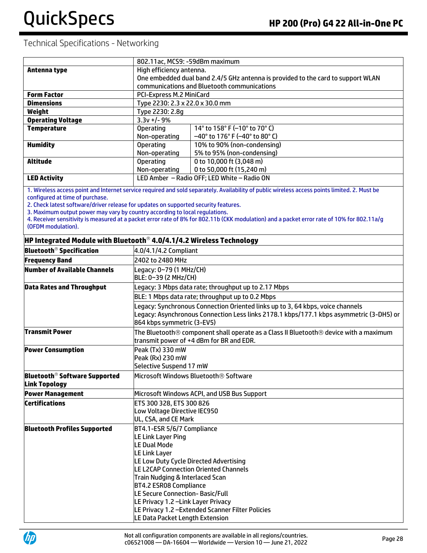|                                                                                                                                                                    | 802.11ac, MCS9: -59dBm maximum                                                                                        |                                                                                                                                               |  |
|--------------------------------------------------------------------------------------------------------------------------------------------------------------------|-----------------------------------------------------------------------------------------------------------------------|-----------------------------------------------------------------------------------------------------------------------------------------------|--|
| Antenna type                                                                                                                                                       | High efficiency antenna.                                                                                              |                                                                                                                                               |  |
|                                                                                                                                                                    | One embedded dual band 2.4/5 GHz antenna is provided to the card to support WLAN                                      |                                                                                                                                               |  |
|                                                                                                                                                                    | communications and Bluetooth communications                                                                           |                                                                                                                                               |  |
| <b>Form Factor</b>                                                                                                                                                 | PCI-Express M.2 MiniCard                                                                                              |                                                                                                                                               |  |
| <b>Dimensions</b>                                                                                                                                                  | Type 2230: 2.3 x 22.0 x 30.0 mm                                                                                       |                                                                                                                                               |  |
| Weight                                                                                                                                                             | Type 2230: 2.8g                                                                                                       |                                                                                                                                               |  |
| <b>Operating Voltage</b>                                                                                                                                           | $3.3v + -9%$                                                                                                          |                                                                                                                                               |  |
| <b>Temperature</b>                                                                                                                                                 | <b>Operating</b>                                                                                                      | 14° to 158° F (-10° to 70° C)                                                                                                                 |  |
|                                                                                                                                                                    | Non-operating                                                                                                         | $-40^{\circ}$ to 176° F (-40° to 80° C)                                                                                                       |  |
| <b>Humidity</b>                                                                                                                                                    | <b>Operating</b>                                                                                                      | 10% to 90% (non-condensing)                                                                                                                   |  |
|                                                                                                                                                                    | Non-operating                                                                                                         | 5% to 95% (non-condensing)                                                                                                                    |  |
| <b>Altitude</b>                                                                                                                                                    | <b>Operating</b>                                                                                                      | 0 to 10,000 ft (3,048 m)                                                                                                                      |  |
|                                                                                                                                                                    | Non-operating                                                                                                         | 0 to 50,000 ft (15,240 m)                                                                                                                     |  |
| <b>LED Activity</b>                                                                                                                                                |                                                                                                                       | LED Amber - Radio OFF; LED White - Radio ON                                                                                                   |  |
|                                                                                                                                                                    |                                                                                                                       | 1. Wireless access point and Internet service required and sold separately. Availability of public wireless access points limited. 2. Must be |  |
| configured at time of purchase.                                                                                                                                    |                                                                                                                       |                                                                                                                                               |  |
| 2. Check latest software/driver release for updates on supported security features.<br>3. Maximum output power may vary by country according to local regulations. |                                                                                                                       |                                                                                                                                               |  |
|                                                                                                                                                                    |                                                                                                                       | 4. Receiver sensitivity is measured at a packet error rate of 8% for 802.11b (CKK modulation) and a packet error rate of 10% for 802.11a/g    |  |
| (OFDM modulation).                                                                                                                                                 |                                                                                                                       |                                                                                                                                               |  |
|                                                                                                                                                                    |                                                                                                                       |                                                                                                                                               |  |
| <b>HP Integrated Module with Bluetooth<math>^{\circ}</math> 4.0/4.1/4.2 Wireless Technology</b>                                                                    |                                                                                                                       |                                                                                                                                               |  |
| <b>Bluetooth<sup>®</sup> Specification</b>                                                                                                                         | 4.0/4.1/4.2 Compliant                                                                                                 |                                                                                                                                               |  |
| <b>Frequency Band</b>                                                                                                                                              | 2402 to 2480 MHz                                                                                                      |                                                                                                                                               |  |
| Number of Available Channels                                                                                                                                       | Legacy: 0~79 (1 MHz/CH)<br>BLE: 0~39 (2 MHz/CH)                                                                       |                                                                                                                                               |  |
|                                                                                                                                                                    |                                                                                                                       |                                                                                                                                               |  |
| <b>Data Rates and Throughput</b>                                                                                                                                   | Legacy: 3 Mbps data rate; throughput up to 2.17 Mbps                                                                  |                                                                                                                                               |  |
|                                                                                                                                                                    |                                                                                                                       | BLE: 1 Mbps data rate; throughput up to 0.2 Mbps                                                                                              |  |
|                                                                                                                                                                    |                                                                                                                       | Legacy: Synchronous Connection Oriented links up to 3, 64 kbps, voice channels                                                                |  |
|                                                                                                                                                                    | Legacy: Asynchronous Connection Less links 2178.1 kbps/177.1 kbps asymmetric (3-DH5) or<br>864 kbps symmetric (3-EV5) |                                                                                                                                               |  |
|                                                                                                                                                                    |                                                                                                                       |                                                                                                                                               |  |
| Transmit Power                                                                                                                                                     |                                                                                                                       | The Bluetooth® component shall operate as a Class II Bluetooth® device with a maximum                                                         |  |
|                                                                                                                                                                    |                                                                                                                       | transmit power of +4 dBm for BR and EDR.                                                                                                      |  |
| <b>Power Consumption</b>                                                                                                                                           | Peak (Tx) 330 mW                                                                                                      |                                                                                                                                               |  |
|                                                                                                                                                                    | Peak (Rx) 230 mW                                                                                                      |                                                                                                                                               |  |
|                                                                                                                                                                    | Selective Suspend 17 mW                                                                                               |                                                                                                                                               |  |
| <b>Bluetooth<sup>®</sup> Software Supported</b>                                                                                                                    |                                                                                                                       | Microsoft Windows Bluetooth <sup>®</sup> Software                                                                                             |  |
| <b>Link Topology</b>                                                                                                                                               |                                                                                                                       |                                                                                                                                               |  |
| <b>Power Management</b>                                                                                                                                            | Microsoft Windows ACPI, and USB Bus Support                                                                           |                                                                                                                                               |  |
| <b>Certifications</b>                                                                                                                                              | ETS 300 328, ETS 300 826                                                                                              |                                                                                                                                               |  |
|                                                                                                                                                                    | Low Voltage Directive IEC950                                                                                          |                                                                                                                                               |  |
|                                                                                                                                                                    | UL, CSA, and CE Mark                                                                                                  |                                                                                                                                               |  |
| <b>Bluetooth Profiles Supported</b>                                                                                                                                | BT4.1-ESR 5/6/7 Compliance                                                                                            |                                                                                                                                               |  |
|                                                                                                                                                                    | <b>LE Link Layer Ping</b>                                                                                             |                                                                                                                                               |  |
|                                                                                                                                                                    | <b>LE Dual Mode</b>                                                                                                   |                                                                                                                                               |  |
|                                                                                                                                                                    | <b>LE Link Layer</b>                                                                                                  |                                                                                                                                               |  |
|                                                                                                                                                                    | LE Low Duty Cycle Directed Advertising                                                                                |                                                                                                                                               |  |
|                                                                                                                                                                    | LE L2CAP Connection Oriented Channels                                                                                 |                                                                                                                                               |  |
|                                                                                                                                                                    | Train Nudging & Interlaced Scan                                                                                       |                                                                                                                                               |  |
|                                                                                                                                                                    | <b>BT4.2 ESR08 Compliance</b>                                                                                         |                                                                                                                                               |  |
|                                                                                                                                                                    | LE Secure Connection- Basic/Full                                                                                      |                                                                                                                                               |  |
|                                                                                                                                                                    | LE Privacy 1.2 -Link Layer Privacy                                                                                    |                                                                                                                                               |  |
|                                                                                                                                                                    | LE Privacy 1.2 - Extended Scanner Filter Policies                                                                     |                                                                                                                                               |  |
|                                                                                                                                                                    | LE Data Packet Length Extension                                                                                       |                                                                                                                                               |  |

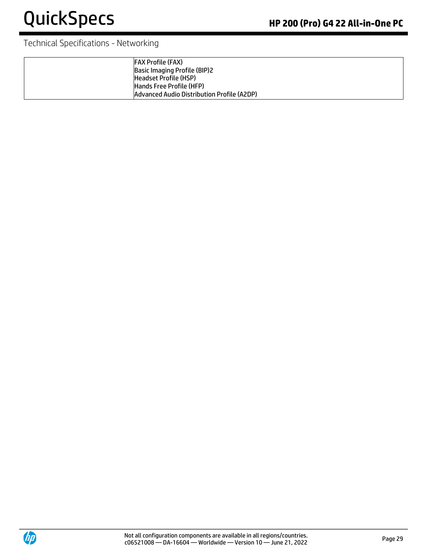| <b>FAX Profile (FAX)</b>                   |
|--------------------------------------------|
| Basic Imaging Profile (BIP)2               |
| Headset Profile (HSP)                      |
| Hands Free Profile (HFP)                   |
| Advanced Audio Distribution Profile (A2DP) |
|                                            |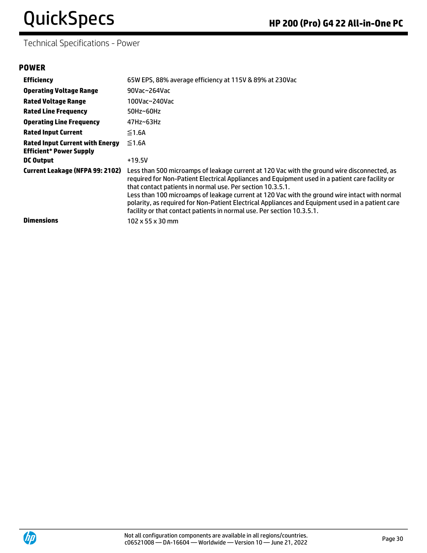Technical Specifications - Power

### **POWER**

| <b>Efficiency</b>                                                        | 65W EPS, 88% average efficiency at 115V & 89% at 230Vac                                                                                                                                                                                                                                                                                                                                                                                                                                                                                     |  |  |
|--------------------------------------------------------------------------|---------------------------------------------------------------------------------------------------------------------------------------------------------------------------------------------------------------------------------------------------------------------------------------------------------------------------------------------------------------------------------------------------------------------------------------------------------------------------------------------------------------------------------------------|--|--|
| <b>Operating Voltage Range</b>                                           | 90Vac~264Vac                                                                                                                                                                                                                                                                                                                                                                                                                                                                                                                                |  |  |
| <b>Rated Voltage Range</b>                                               | 100Vac~240Vac                                                                                                                                                                                                                                                                                                                                                                                                                                                                                                                               |  |  |
| <b>Rated Line Frequency</b>                                              | $50$ Hz~60Hz                                                                                                                                                                                                                                                                                                                                                                                                                                                                                                                                |  |  |
| <b>Operating Line Frequency</b>                                          | $47$ Hz~63Hz                                                                                                                                                                                                                                                                                                                                                                                                                                                                                                                                |  |  |
| <b>Rated Input Current</b>                                               | ≦1.6A                                                                                                                                                                                                                                                                                                                                                                                                                                                                                                                                       |  |  |
| <b>Rated Input Current with Energy</b><br><b>Efficient* Power Supply</b> | ≤1.6A                                                                                                                                                                                                                                                                                                                                                                                                                                                                                                                                       |  |  |
| <b>DC Output</b>                                                         | $+19.5V$                                                                                                                                                                                                                                                                                                                                                                                                                                                                                                                                    |  |  |
| <b>Current Leakage (NFPA 99: 2102)</b>                                   | Less than 500 microamps of leakage current at 120 Vac with the ground wire disconnected, as<br>required for Non-Patient Electrical Appliances and Equipment used in a patient care facility or<br>that contact patients in normal use. Per section 10.3.5.1.<br>Less than 100 microamps of leakage current at 120 Vac with the ground wire intact with normal<br>polarity, as required for Non-Patient Electrical Appliances and Equipment used in a patient care<br>facility or that contact patients in normal use. Per section 10.3.5.1. |  |  |
| <b>Dimensions</b>                                                        | 102 x 55 x 30 mm                                                                                                                                                                                                                                                                                                                                                                                                                                                                                                                            |  |  |

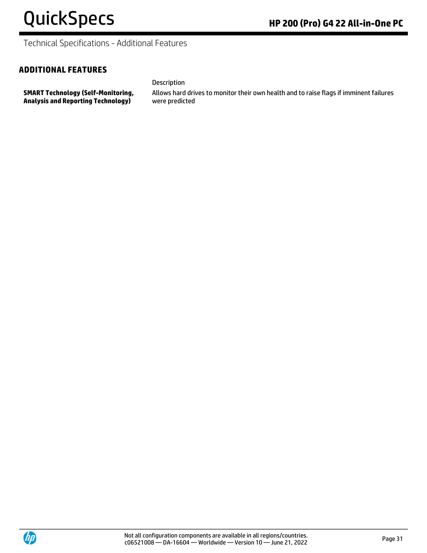Technical Specifications - Additional Features

# **ADDITIONAL FEATURES**

**SMART Technology (Self-Monitoring, Analysis and Reporting Technology)**

Description

Allows hard drives to monitor their own health and to raise flags if imminent failures were predicted